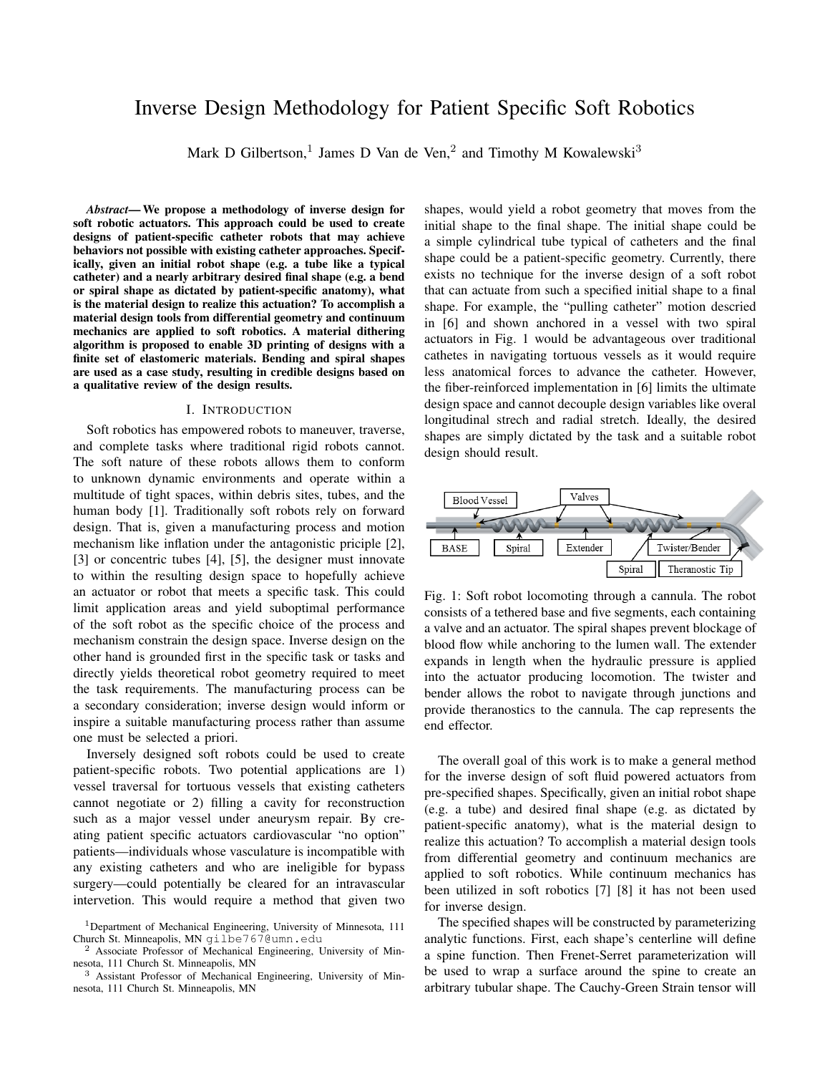# Inverse Design Methodology for Patient Specific Soft Robotics

Mark D Gilbertson,<sup>1</sup> James D Van de Ven,<sup>2</sup> and Timothy M Kowalewski<sup>3</sup>

*Abstract*— We propose a methodology of inverse design for soft robotic actuators. This approach could be used to create designs of patient-specific catheter robots that may achieve behaviors not possible with existing catheter approaches. Specifically, given an initial robot shape (e.g. a tube like a typical catheter) and a nearly arbitrary desired final shape (e.g. a bend or spiral shape as dictated by patient-specific anatomy), what is the material design to realize this actuation? To accomplish a material design tools from differential geometry and continuum mechanics are applied to soft robotics. A material dithering algorithm is proposed to enable 3D printing of designs with a finite set of elastomeric materials. Bending and spiral shapes are used as a case study, resulting in credible designs based on a qualitative review of the design results.

### I. INTRODUCTION

Soft robotics has empowered robots to maneuver, traverse, and complete tasks where traditional rigid robots cannot. The soft nature of these robots allows them to conform to unknown dynamic environments and operate within a multitude of tight spaces, within debris sites, tubes, and the human body [1]. Traditionally soft robots rely on forward design. That is, given a manufacturing process and motion mechanism like inflation under the antagonistic priciple [2], [3] or concentric tubes [4], [5], the designer must innovate to within the resulting design space to hopefully achieve an actuator or robot that meets a specific task. This could limit application areas and yield suboptimal performance of the soft robot as the specific choice of the process and mechanism constrain the design space. Inverse design on the other hand is grounded first in the specific task or tasks and directly yields theoretical robot geometry required to meet the task requirements. The manufacturing process can be a secondary consideration; inverse design would inform or inspire a suitable manufacturing process rather than assume one must be selected a priori.

Inversely designed soft robots could be used to create patient-specific robots. Two potential applications are 1) vessel traversal for tortuous vessels that existing catheters cannot negotiate or 2) filling a cavity for reconstruction such as a major vessel under aneurysm repair. By creating patient specific actuators cardiovascular "no option" patients—individuals whose vasculature is incompatible with any existing catheters and who are ineligible for bypass surgery—could potentially be cleared for an intravascular intervetion. This would require a method that given two

shapes, would yield a robot geometry that moves from the initial shape to the final shape. The initial shape could be a simple cylindrical tube typical of catheters and the final shape could be a patient-specific geometry. Currently, there exists no technique for the inverse design of a soft robot that can actuate from such a specified initial shape to a final shape. For example, the "pulling catheter" motion descried in [6] and shown anchored in a vessel with two spiral actuators in Fig. 1 would be advantageous over traditional cathetes in navigating tortuous vessels as it would require less anatomical forces to advance the catheter. However, the fiber-reinforced implementation in [6] limits the ultimate design space and cannot decouple design variables like overal longitudinal strech and radial stretch. Ideally, the desired shapes are simply dictated by the task and a suitable robot design should result.



Fig. 1: Soft robot locomoting through a cannula. The robot consists of a tethered base and five segments, each containing a valve and an actuator. The spiral shapes prevent blockage of blood flow while anchoring to the lumen wall. The extender expands in length when the hydraulic pressure is applied into the actuator producing locomotion. The twister and bender allows the robot to navigate through junctions and provide theranostics to the cannula. The cap represents the end effector.

The overall goal of this work is to make a general method for the inverse design of soft fluid powered actuators from pre-specified shapes. Specifically, given an initial robot shape (e.g. a tube) and desired final shape (e.g. as dictated by patient-specific anatomy), what is the material design to realize this actuation? To accomplish a material design tools from differential geometry and continuum mechanics are applied to soft robotics. While continuum mechanics has been utilized in soft robotics [7] [8] it has not been used for inverse design.

The specified shapes will be constructed by parameterizing analytic functions. First, each shape's centerline will define a spine function. Then Frenet-Serret parameterization will be used to wrap a surface around the spine to create an arbitrary tubular shape. The Cauchy-Green Strain tensor will

<sup>1</sup>Department of Mechanical Engineering, University of Minnesota, 111 Church St. Minneapolis, MN gilbe767@umn.edu

<sup>&</sup>lt;sup>2</sup> Associate Professor of Mechanical Engineering, University of Minnesota, 111 Church St. Minneapolis, MN

<sup>3</sup> Assistant Professor of Mechanical Engineering, University of Minnesota, 111 Church St. Minneapolis, MN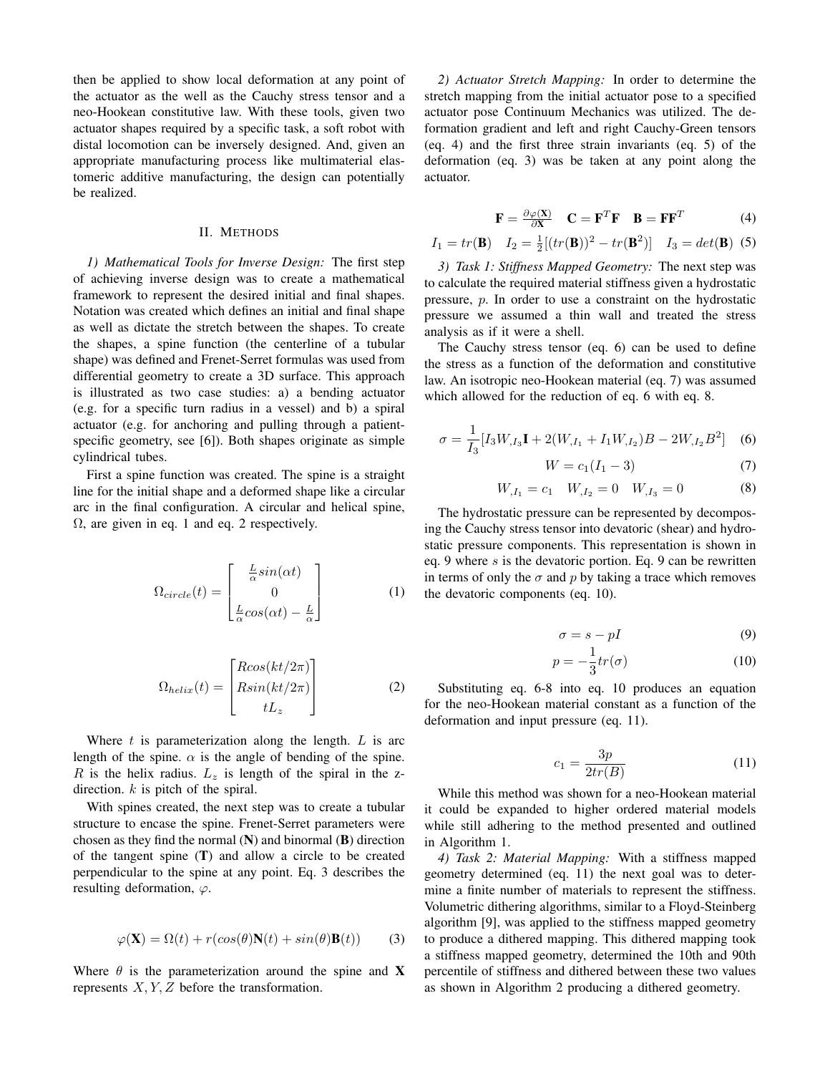then be applied to show local deformation at any point of the actuator as the well as the Cauchy stress tensor and a neo-Hookean constitutive law. With these tools, given two actuator shapes required by a specific task, a soft robot with distal locomotion can be inversely designed. And, given an appropriate manufacturing process like multimaterial elastomeric additive manufacturing, the design can potentially be realized.

#### II. METHODS

*1) Mathematical Tools for Inverse Design:* The first step of achieving inverse design was to create a mathematical framework to represent the desired initial and final shapes. Notation was created which defines an initial and final shape as well as dictate the stretch between the shapes. To create the shapes, a spine function (the centerline of a tubular shape) was defined and Frenet-Serret formulas was used from differential geometry to create a 3D surface. This approach is illustrated as two case studies: a) a bending actuator (e.g. for a specific turn radius in a vessel) and b) a spiral actuator (e.g. for anchoring and pulling through a patientspecific geometry, see [6]). Both shapes originate as simple cylindrical tubes.

First a spine function was created. The spine is a straight line for the initial shape and a deformed shape like a circular arc in the final configuration. A circular and helical spine,  $\Omega$ , are given in eq. 1 and eq. 2 respectively.

$$
\Omega_{circle}(t) = \begin{bmatrix} \frac{L}{\alpha} sin(\alpha t) \\ 0 \\ \frac{L}{\alpha} cos(\alpha t) - \frac{L}{\alpha} \end{bmatrix}
$$
 (1)

$$
\Omega_{helix}(t) = \begin{bmatrix} R\cos(kt/2\pi) \\ R\sin(kt/2\pi) \\ tL_z \end{bmatrix}
$$
 (2)

Where  $t$  is parameterization along the length.  $L$  is arc length of the spine.  $\alpha$  is the angle of bending of the spine. R is the helix radius.  $L_z$  is length of the spiral in the zdirection.  $k$  is pitch of the spiral.

With spines created, the next step was to create a tubular structure to encase the spine. Frenet-Serret parameters were chosen as they find the normal  $(N)$  and binormal  $(B)$  direction of the tangent spine (T) and allow a circle to be created perpendicular to the spine at any point. Eq. 3 describes the resulting deformation,  $\varphi$ .

$$
\varphi(\mathbf{X}) = \Omega(t) + r(\cos(\theta)\mathbf{N}(t) + \sin(\theta)\mathbf{B}(t))
$$
 (3)

Where  $\theta$  is the parameterization around the spine and **X** represents  $X, Y, Z$  before the transformation.

*2) Actuator Stretch Mapping:* In order to determine the stretch mapping from the initial actuator pose to a specified actuator pose Continuum Mechanics was utilized. The deformation gradient and left and right Cauchy-Green tensors (eq. 4) and the first three strain invariants (eq. 5) of the deformation (eq. 3) was be taken at any point along the actuator.

$$
\mathbf{F} = \frac{\partial \varphi(\mathbf{X})}{\partial \mathbf{X}} \quad \mathbf{C} = \mathbf{F}^T \mathbf{F} \quad \mathbf{B} = \mathbf{F} \mathbf{F}^T \tag{4}
$$

$$
I_1 = tr(\mathbf{B})
$$
  $I_2 = \frac{1}{2}[(tr(\mathbf{B}))^2 - tr(\mathbf{B}^2)]$   $I_3 = det(\mathbf{B})$  (5)

*3) Task 1: Stiffness Mapped Geometry:* The next step was to calculate the required material stiffness given a hydrostatic pressure, p. In order to use a constraint on the hydrostatic pressure we assumed a thin wall and treated the stress analysis as if it were a shell.

The Cauchy stress tensor (eq. 6) can be used to define the stress as a function of the deformation and constitutive law. An isotropic neo-Hookean material (eq. 7) was assumed which allowed for the reduction of eq. 6 with eq. 8.

$$
\sigma = \frac{1}{I_3} [I_3 W_{,I_3} \mathbf{I} + 2(W_{,I_1} + I_1 W_{,I_2}) B - 2W_{,I_2} B^2] \tag{6}
$$

$$
W = c_1(I_1 - 3)
$$
 (7)

$$
W_{,I_1} = c_1 \quad W_{,I_2} = 0 \quad W_{,I_3} = 0 \tag{8}
$$

The hydrostatic pressure can be represented by decomposing the Cauchy stress tensor into devatoric (shear) and hydrostatic pressure components. This representation is shown in eq. 9 where s is the devatoric portion. Eq. 9 can be rewritten in terms of only the  $\sigma$  and p by taking a trace which removes the devatoric components (eq. 10).

$$
\sigma = s - pI \tag{9}
$$

$$
p = -\frac{1}{3}tr(\sigma) \tag{10}
$$

Substituting eq. 6-8 into eq. 10 produces an equation for the neo-Hookean material constant as a function of the deformation and input pressure (eq. 11).

$$
c_1 = \frac{3p}{2tr(B)}\tag{11}
$$

While this method was shown for a neo-Hookean material it could be expanded to higher ordered material models while still adhering to the method presented and outlined in Algorithm 1.

*4) Task 2: Material Mapping:* With a stiffness mapped geometry determined (eq. 11) the next goal was to determine a finite number of materials to represent the stiffness. Volumetric dithering algorithms, similar to a Floyd-Steinberg algorithm [9], was applied to the stiffness mapped geometry to produce a dithered mapping. This dithered mapping took a stiffness mapped geometry, determined the 10th and 90th percentile of stiffness and dithered between these two values as shown in Algorithm 2 producing a dithered geometry.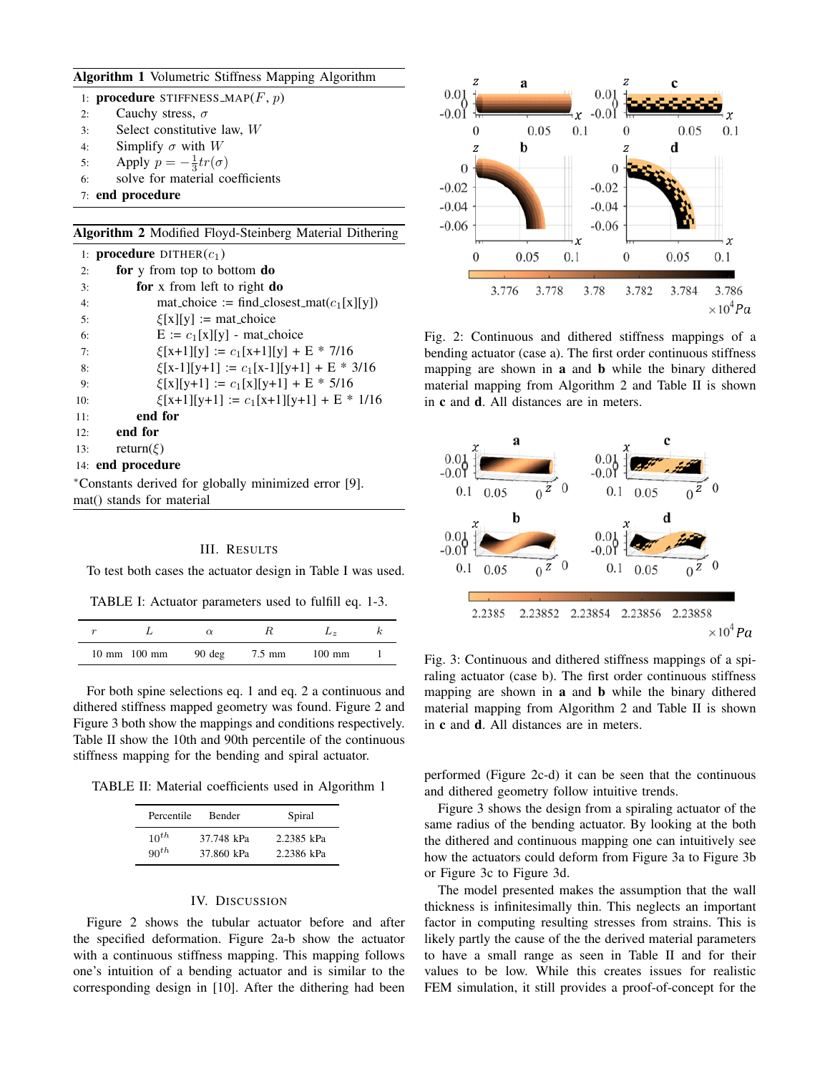## Algorithm 1 Volumetric Stiffness Mapping Algorithm

1: procedure STIFFNESS\_MAP $(F, p)$ 

- 2: Cauchy stress,  $\sigma$
- 3: Select constitutive law, W
- 4: Simplify  $\sigma$  with W
- 5: Apply  $p = -\frac{1}{3}tr(\sigma)$
- 6: solve for material coefficients
- 7: end procedure

Algorithm 2 Modified Floyd-Steinberg Material Dithering

|                                                                                   | 1: <b>procedure</b> DITHER $(c_1)$                       |  |  |  |
|-----------------------------------------------------------------------------------|----------------------------------------------------------|--|--|--|
| 2:                                                                                | for y from top to bottom do                              |  |  |  |
| 3:                                                                                | for x from left to right do                              |  |  |  |
| 4:                                                                                | $\text{mat-choice} := \text{find-closesLmat}(c_1[x][y])$ |  |  |  |
| 5:                                                                                | $\mathcal{E}[x][y] := \text{mat\_choice}$                |  |  |  |
| 6:                                                                                | $E := c_1[x][y]$ - mat_choice                            |  |  |  |
| 7:                                                                                | $\xi[x+1][y] := c_1[x+1][y] + E * 7/16$                  |  |  |  |
| 8:                                                                                | $\xi[x-1][y+1] := c_1[x-1][y+1] + E * 3/16$              |  |  |  |
| 9:                                                                                | $\xi[x][y+1] := c_1[x][y+1] + E * 5/16$                  |  |  |  |
| 10:                                                                               | $\xi[x+1][y+1] := c_1[x+1][y+1] + E * 1/16$              |  |  |  |
| 11:                                                                               | end for                                                  |  |  |  |
| 12:                                                                               | end for                                                  |  |  |  |
|                                                                                   | return( $\xi$ )<br>13:                                   |  |  |  |
| 14: end procedure                                                                 |                                                          |  |  |  |
| *Constants derived for globally minimized error [9].<br>mat() stands for material |                                                          |  |  |  |

## III. RESULTS

To test both cases the actuator design in Table I was used.

TABLE I: Actuator parameters used to fulfill eq. 1-3.

|                                  |                  |        | $\mathbf{L} \times$ |  |
|----------------------------------|------------------|--------|---------------------|--|
| $10 \text{ mm}$ $100 \text{ mm}$ | $90 \text{ deg}$ | 7.5 mm | $100 \text{ mm}$    |  |

For both spine selections eq. 1 and eq. 2 a continuous and dithered stiffness mapped geometry was found. Figure 2 and Figure 3 both show the mappings and conditions respectively. Table II show the 10th and 90th percentile of the continuous stiffness mapping for the bending and spiral actuator.

TABLE II: Material coefficients used in Algorithm 1

| Percentile | Bender     | Spiral     |
|------------|------------|------------|
| $10^{th}$  | 37.748 kPa | 2.2385 kPa |
| $90^{th}$  | 37.860 kPa | 2.2386 kPa |

## IV. DISCUSSION

Figure 2 shows the tubular actuator before and after the specified deformation. Figure 2a-b show the actuator with a continuous stiffness mapping. This mapping follows one's intuition of a bending actuator and is similar to the corresponding design in [10]. After the dithering had been



Fig. 2: Continuous and dithered stiffness mappings of a bending actuator (case a). The first order continuous stiffness mapping are shown in a and b while the binary dithered material mapping from Algorithm 2 and Table II is shown in c and d. All distances are in meters.



Fig. 3: Continuous and dithered stiffness mappings of a spiraling actuator (case b). The first order continuous stiffness mapping are shown in a and b while the binary dithered material mapping from Algorithm 2 and Table II is shown in c and d. All distances are in meters.

performed (Figure 2c-d) it can be seen that the continuous and dithered geometry follow intuitive trends.

Figure 3 shows the design from a spiraling actuator of the same radius of the bending actuator. By looking at the both the dithered and continuous mapping one can intuitively see how the actuators could deform from Figure 3a to Figure 3b or Figure 3c to Figure 3d.

The model presented makes the assumption that the wall thickness is infinitesimally thin. This neglects an important factor in computing resulting stresses from strains. This is likely partly the cause of the the derived material parameters to have a small range as seen in Table II and for their values to be low. While this creates issues for realistic FEM simulation, it still provides a proof-of-concept for the